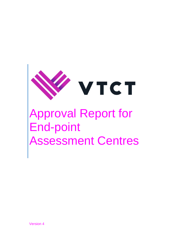

# Approval Report for End-point Assessment Centres

Version 4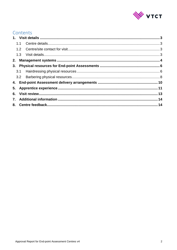

## Contents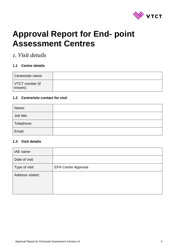

## **Approval Report for End- point Assessment Centres**

## <span id="page-2-0"></span>*1. Visit details*

#### <span id="page-2-1"></span>**1.1 Centre details**

| Centre/site name:          |  |
|----------------------------|--|
| VTCT number (if<br>known): |  |

#### <span id="page-2-2"></span>**1.2 Centre/site contact for visit**

| Name:      |  |
|------------|--|
| Job title: |  |
| Telephone: |  |
| Email:     |  |

#### <span id="page-2-3"></span>**1.3 Visit details**

| IAE name:        |                            |
|------------------|----------------------------|
| Date of visit:   |                            |
| Type of visit:   | <b>EPA Centre Approval</b> |
| Address visited: |                            |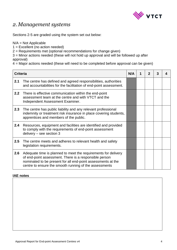

## <span id="page-3-0"></span>*2. Management systems*

Sections 2-5 are graded using the system set out below:

 $N/A = Not Applicable$ 

1 = Excellent (no action needed)

2 = Requirements met (optional recommendations for change given)

3 = Minor actions needed (these will not hold up approval and will be followed up after approval)

 $4$  = Major actions needed (these will need to be completed before approval can be given)

| <b>Criteria</b> |                                                                                                                                                                                                                                                    | N/A | 1 |  |  |
|-----------------|----------------------------------------------------------------------------------------------------------------------------------------------------------------------------------------------------------------------------------------------------|-----|---|--|--|
| 2.1             | The centre has defined and agreed responsibilities, authorities<br>and accountabilities for the facilitation of end-point assessment.                                                                                                              |     |   |  |  |
| 2.2             | There is effective communication within the end-point<br>assessment team at the centre and with VTCT and the<br>Independent Assessment Examiner.                                                                                                   |     |   |  |  |
| 2.3             | The centre has public liability and any relevant professional<br>indemnity or treatment risk insurance in place covering students,<br>apprentices and members of the public.                                                                       |     |   |  |  |
| $2.4\,$         | Resources, equipment and facilities are identified and provided<br>to comply with the requirements of end-point assessment<br>delivery - see section 3                                                                                             |     |   |  |  |
| $2.5\,$         | The centre meets and adheres to relevant health and safety<br>legislation requirements.                                                                                                                                                            |     |   |  |  |
| 2.6             | Adequate time is planned to meet the requirements for delivery<br>of end-point assessment. There is a responsible person<br>nominated to be present for all end-point assessments at the<br>centre to ensure the smooth running of the assessments |     |   |  |  |

#### **IAE notes**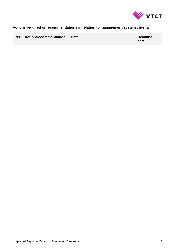

#### **Actions required or recommendations in relation to management system criteria**

| Ref.   Action/recommendation | <b>Detail</b> | <b>Deadline</b><br>date |
|------------------------------|---------------|-------------------------|
|                              |               |                         |
|                              |               |                         |
|                              |               |                         |
|                              |               |                         |
|                              |               |                         |
|                              |               |                         |
|                              |               |                         |
|                              |               |                         |
|                              |               |                         |
|                              |               |                         |
|                              |               |                         |
|                              |               |                         |
|                              |               |                         |
|                              |               |                         |
|                              |               |                         |
|                              |               |                         |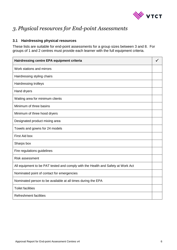

## <span id="page-5-0"></span>*3. Physical resources for End-point Assessments*

#### <span id="page-5-1"></span>**3.1 Hairdressing physical resources**

These lists are suitable for end-point assessments for a group sizes between 3 and 8. For groups of 1 and 2 centres must provide each learner with the full equipment criteria.

| Hairdressing centre EPA equipment criteria                                       |  |
|----------------------------------------------------------------------------------|--|
| Work stations and mirrors                                                        |  |
| Hairdressing styling chairs                                                      |  |
| Hairdressing trolleys                                                            |  |
| Hand dryers                                                                      |  |
| Waiting area for minimum clients                                                 |  |
| Minimum of three basins                                                          |  |
| Minimum of three hood dryers                                                     |  |
| Designated product mixing area                                                   |  |
| Towels and gowns for 24 models                                                   |  |
| First Aid box                                                                    |  |
| Sharps box                                                                       |  |
| Fire regulations guidelines                                                      |  |
| <b>Risk assessment</b>                                                           |  |
| All equipment to be PAT tested and comply with the Health and Safety at Work Act |  |
| Nominated point of contact for emergencies                                       |  |
| Nominated person to be available at all times during the EPA                     |  |
| <b>Toilet facilities</b>                                                         |  |
| <b>Refreshment facilities</b>                                                    |  |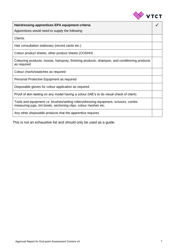

## **Hairdressing apprentices EPA equipment criteria** Apprentices would need to supply the following  $\checkmark$ **Clients** Hair consultation stationary (record cards etc.) Colour product sheets, other product sheets (COSHH) Colouring products, moose, hairspray, finishing products, shampoo, and conditioning products as required Colour charts/swatches as required Personal Protective Equipment as required Disposable gloves for colour application as required Proof of skin testing on any model having a colour (IAE's to do visual check of client) Tools and equipment i.e. brushes/setting rollers/dressing equipment, scissors, combs measuring jugs, tint bowls, sectioning clips, colour meshes etc. Any other disposable products that the apprentice requires

This is not an exhaustive list and should only be used as a guide.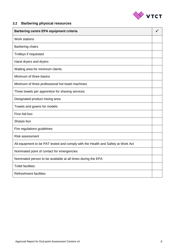

### <span id="page-7-0"></span>**3.2 Barbering physical resources**

| <b>Barbering centre EPA equipment criteria</b>                                   |  |
|----------------------------------------------------------------------------------|--|
| <b>Work stations</b>                                                             |  |
| <b>Barbering chairs</b>                                                          |  |
| Trolleys if requested                                                            |  |
| Hand dryers and dryers                                                           |  |
| Waiting area for minimum clients                                                 |  |
| Minimum of three basins                                                          |  |
| Minimum of three professional hot towel machines                                 |  |
| Three towels per apprentice for shaving services                                 |  |
| Designated product mixing area                                                   |  |
| Towels and gowns for models                                                      |  |
| First Aid box                                                                    |  |
| Sharps box                                                                       |  |
| Fire regulations guidelines                                                      |  |
| <b>Risk assessment</b>                                                           |  |
| All equipment to be PAT tested and comply with the Health and Safety at Work Act |  |
| Nominated point of contact for emergencies                                       |  |
| Nominated person to be available at all times during the EPA                     |  |
| <b>Toilet facilities</b>                                                         |  |
| <b>Refreshment facilities</b>                                                    |  |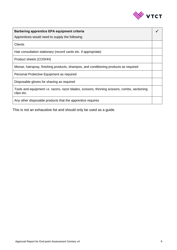

| <b>Barbering apprentice EPA equipment criteria</b><br>Apprentices would need to supply the following        |  |
|-------------------------------------------------------------------------------------------------------------|--|
| Clients                                                                                                     |  |
| Hair consultation stationary (record cards etc. if appropriate)                                             |  |
| Product sheets (COSHH)                                                                                      |  |
| Moose, hairspray, finishing products, shampoo, and conditioning products as required                        |  |
| Personal Protective Equipment as required                                                                   |  |
| Disposable gloves for shaving as required                                                                   |  |
| Tools and equipment i.e. razors, razor blades, scissors, thinning scissors, combs, sectioning<br>clips etc. |  |
| Any other disposable products that the apprentice requires                                                  |  |

This is not an exhaustive list and should only be used as a guide.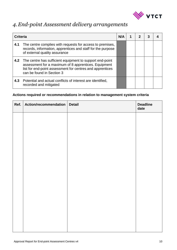

## <span id="page-9-0"></span>*4. End-point Assessment delivery arrangements*

|     | <b>Criteria</b>                                                                                                                                                                                                |  |  | 3 |  |
|-----|----------------------------------------------------------------------------------------------------------------------------------------------------------------------------------------------------------------|--|--|---|--|
| 4.1 | The centre complies with requests for access to premises,<br>records, information, apprentices and staff for the purpose<br>of external quality assurance                                                      |  |  |   |  |
|     | 4.2 The centre has sufficient equipment to support end-point<br>assessment for a maximum of 8 apprentices. Equipment<br>list for end-point assessment for centres and apprentices<br>can be found in Section 3 |  |  |   |  |
|     | 4.3 Potential and actual conflicts of interest are identified,<br>recorded and mitigated                                                                                                                       |  |  |   |  |

#### **Actions required or recommendations in relation to management system criteria**

| Ref.   Action/recommendation | <b>Detail</b> | <b>Deadline</b><br>date |
|------------------------------|---------------|-------------------------|
|                              |               |                         |
|                              |               |                         |
|                              |               |                         |
|                              |               |                         |
|                              |               |                         |
|                              |               |                         |
|                              |               |                         |
|                              |               |                         |
|                              |               |                         |
|                              |               |                         |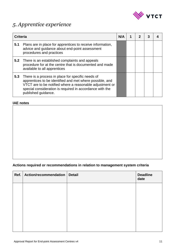

## <span id="page-10-0"></span>*5. Apprentice experience*

| <b>Criteria</b> |                                                                                                                                                                                                                                                              | N/A |  | 3 |  |
|-----------------|--------------------------------------------------------------------------------------------------------------------------------------------------------------------------------------------------------------------------------------------------------------|-----|--|---|--|
| 5.1             | Plans are in place for apprentices to receive information,<br>advice and guidance about end-point assessment<br>procedures and practices                                                                                                                     |     |  |   |  |
|                 | <b>5.2</b> There is an established complaints and appeals<br>procedure for at the centre that is documented and made<br>available to all apprentices                                                                                                         |     |  |   |  |
| 5.3             | There is a process in place for specific needs of<br>apprentices to be identified and met where possible, and<br>VTCT are to be notified where a reasonable adjustment or<br>special consideration is required in accordance with the<br>published guidance. |     |  |   |  |

#### **IAE notes**

#### **Actions required or recommendations in relation to management system criteria**

| Ref.   Action/recommendation | <b>Detail</b> | <b>Deadline</b><br>date |
|------------------------------|---------------|-------------------------|
|                              |               |                         |
|                              |               |                         |
|                              |               |                         |
|                              |               |                         |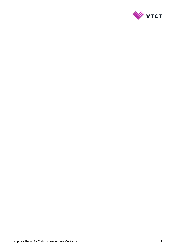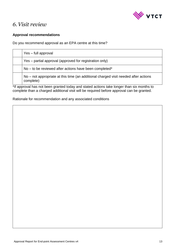

## <span id="page-12-0"></span>*6.Visit review*

#### **Approval recommendations**

Do you recommend approval as an EPA centre at this time?

| Yes – full approval                                                                              |  |  |
|--------------------------------------------------------------------------------------------------|--|--|
| Yes - partial approval (approved for registration only)                                          |  |  |
| No – to be reviewed after actions have been completed*                                           |  |  |
| No – not appropriate at this time (an additional charged visit needed after actions<br>complete) |  |  |

\*If approval has not been granted today and stated actions take longer than six months to complete than a charged additional visit will be required before approval can be granted.

Rationale for recommendation and any associated conditions